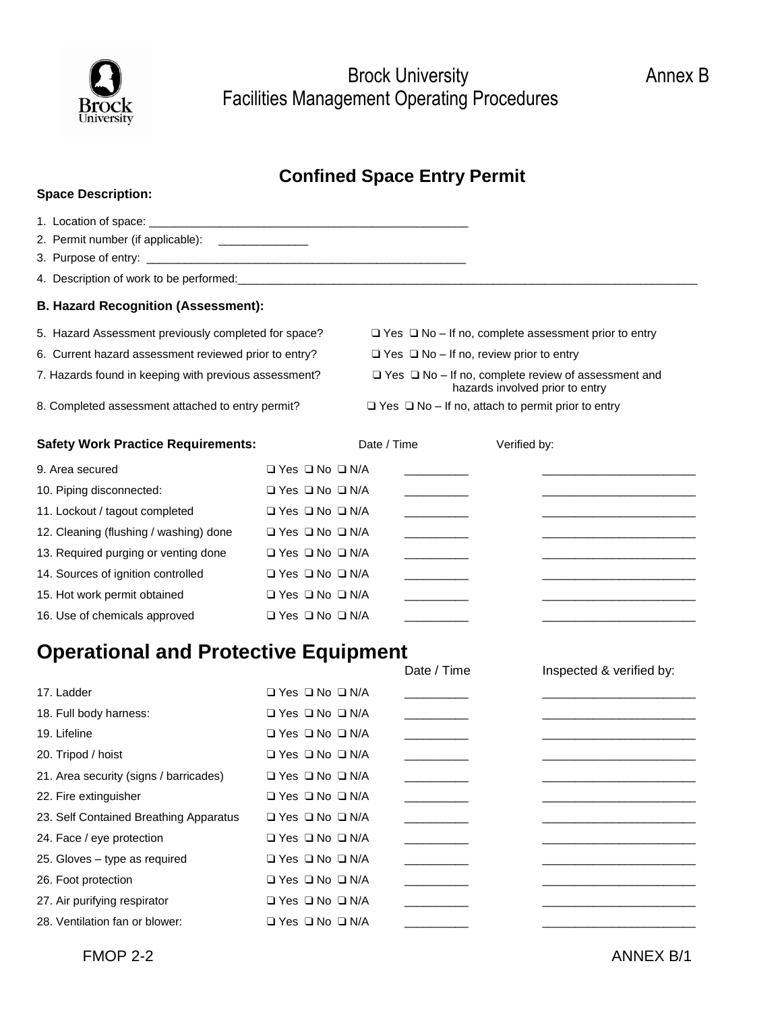

Brock University **Annex B** Facilities Management Operating Procedures

## **Confined Space Entry Permit**

| <b>Space Description:</b>                             |                                 |             |                                                     |              |                                                                                                                      |
|-------------------------------------------------------|---------------------------------|-------------|-----------------------------------------------------|--------------|----------------------------------------------------------------------------------------------------------------------|
|                                                       |                                 |             |                                                     |              |                                                                                                                      |
| 2. Permit number (if applicable): ______________      |                                 |             |                                                     |              |                                                                                                                      |
|                                                       |                                 |             |                                                     |              |                                                                                                                      |
|                                                       |                                 |             |                                                     |              |                                                                                                                      |
| <b>B. Hazard Recognition (Assessment):</b>            |                                 |             |                                                     |              |                                                                                                                      |
| 5. Hazard Assessment previously completed for space?  |                                 |             |                                                     |              | $\Box$ Yes $\Box$ No – If no, complete assessment prior to entry                                                     |
| 6. Current hazard assessment reviewed prior to entry? |                                 |             | $\Box$ Yes $\Box$ No – If no, review prior to entry |              |                                                                                                                      |
| 7. Hazards found in keeping with previous assessment? |                                 |             |                                                     |              | $\Box$ Yes $\Box$ No - If no, complete review of assessment and<br>hazards involved prior to entry                   |
| 8. Completed assessment attached to entry permit?     |                                 |             |                                                     |              | $\Box$ Yes $\Box$ No - If no, attach to permit prior to entry                                                        |
| <b>Safety Work Practice Requirements:</b>             |                                 | Date / Time |                                                     | Verified by: |                                                                                                                      |
| 9. Area secured                                       | $\Box$ Yes $\Box$ No $\Box$ N/A |             | <u> De Carlos de Ca</u>                             |              | <u> 1989 - Johann John Stone, markin fan it ferstjer fan it ferstjer fan it ferstjer fan it ferstjer fan it fers</u> |
| 10. Piping disconnected:                              | $\Box$ Yes $\Box$ No $\Box$ N/A |             |                                                     |              |                                                                                                                      |
| 11. Lockout / tagout completed                        | $\Box$ Yes $\Box$ No $\Box$ N/A |             | <u> 1989 - John Barnett, fransk politiker</u>       |              | <u> 1989 - Johann John Stone, markin sanadi shirta mashrida na shekara ta 1989 - An tsara tsara tsara tsara tsar</u> |
| 12. Cleaning (flushing / washing) done                | $\Box$ Yes $\Box$ No $\Box$ N/A |             | <u> 1990 - Jan Barnett, p</u>                       |              | <u> 1989 - Johann Barbara, martxa alemaniar a</u>                                                                    |
| 13. Required purging or venting done                  | $\Box$ Yes $\Box$ No $\Box$ N/A |             |                                                     |              |                                                                                                                      |
| 14. Sources of ignition controlled                    | $\Box$ Yes $\Box$ No $\Box$ N/A |             |                                                     |              |                                                                                                                      |
| 15. Hot work permit obtained                          | $\Box$ Yes $\Box$ No $\Box$ N/A |             | <u> Liberal Communication</u>                       |              |                                                                                                                      |
| 16. Use of chemicals approved                         | □ Yes □ No □ N/A                |             |                                                     |              |                                                                                                                      |
| <b>Operational and Protective Equipment</b>           |                                 |             |                                                     |              |                                                                                                                      |
|                                                       |                                 |             | Date / Time                                         |              | Inspected & verified by:                                                                                             |
| 17. Ladder                                            | $\Box$ Yes $\Box$ No $\Box$ N/A |             |                                                     |              |                                                                                                                      |
| 18. Full body harness:                                | $\Box$ Yes $\Box$ No $\Box$ N/A |             |                                                     |              |                                                                                                                      |
| 19. Lifeline                                          | $\Box$ Yes $\Box$ No $\Box$ N/A |             |                                                     |              |                                                                                                                      |
| 20. Tripod / hoist                                    | $\Box$ Yes $\Box$ No $\Box$ N/A |             |                                                     |              |                                                                                                                      |
| 21. Area security (signs / barricades)                | □ Yes □ No □ N/A                |             |                                                     |              |                                                                                                                      |
| 22. Fire extinguisher                                 | $\Box$ Yes $\Box$ No $\Box$ N/A |             |                                                     |              |                                                                                                                      |
| 23. Self Contained Breathing Apparatus                | $\Box$ Yes $\Box$ No $\Box$ N/A |             |                                                     |              |                                                                                                                      |
| 24. Face / eye protection                             | □ Yes □ No □ N/A                |             |                                                     |              |                                                                                                                      |
| 25. Gloves - type as required                         | □ Yes □ No □ N/A                |             |                                                     |              |                                                                                                                      |

26. Foot protection Yes No N/A \_\_\_\_\_\_\_\_\_\_ \_\_\_\_\_\_\_\_\_\_\_\_\_\_\_\_\_\_\_\_\_\_\_\_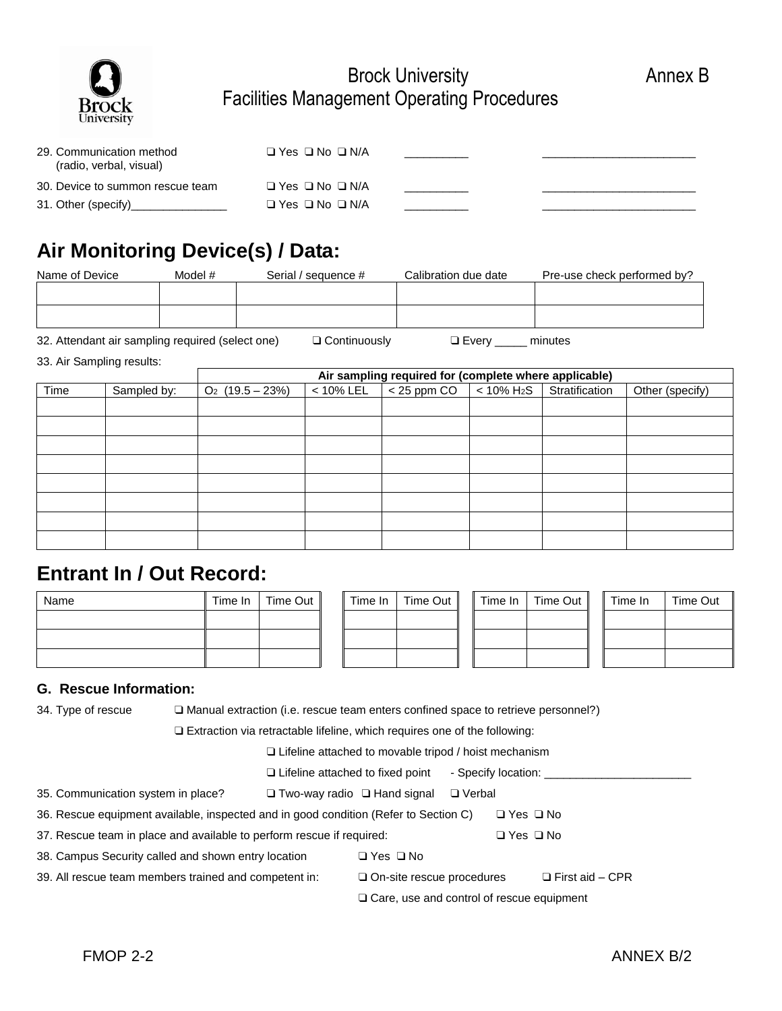

### Brock University **Annex B** Facilities Management Operating Procedures

| 29. Communication method<br>(radio, verbal, visual) | $\Box$ Yes $\Box$ No $\Box$ N/A |  |
|-----------------------------------------------------|---------------------------------|--|
| 30. Device to summon rescue team                    | $\Box$ Yes $\Box$ No $\Box$ N/A |  |
| 31. Other (specify)                                 | $\Box$ Yes $\Box$ No $\Box$ N/A |  |

# **Air Monitoring Device(s) / Data:**

| Name of Device | Model #<br>Serial / sequence # |  | Calibration due date | Pre-use check performed by? |  |  |
|----------------|--------------------------------|--|----------------------|-----------------------------|--|--|
|                |                                |  |                      |                             |  |  |
|                |                                |  |                      |                             |  |  |
|                |                                |  |                      |                             |  |  |
|                |                                |  |                      |                             |  |  |

32. Attendant air sampling required (select one)  $\Box$  Continuously  $\Box$  Every \_\_\_\_\_ minutes

33. Air Sampling results:

|      |             | Air sampling required for (complete where applicable) |              |               |                           |                |                 |  |  |  |
|------|-------------|-------------------------------------------------------|--------------|---------------|---------------------------|----------------|-----------------|--|--|--|
| Time | Sampled by: | $O_2$ (19.5 – 23%)                                    | $< 10\%$ LEL | $<$ 25 ppm CO | $< 10\%$ H <sub>2</sub> S | Stratification | Other (specify) |  |  |  |
|      |             |                                                       |              |               |                           |                |                 |  |  |  |
|      |             |                                                       |              |               |                           |                |                 |  |  |  |
|      |             |                                                       |              |               |                           |                |                 |  |  |  |
|      |             |                                                       |              |               |                           |                |                 |  |  |  |
|      |             |                                                       |              |               |                           |                |                 |  |  |  |
|      |             |                                                       |              |               |                           |                |                 |  |  |  |
|      |             |                                                       |              |               |                           |                |                 |  |  |  |
|      |             |                                                       |              |               |                           |                |                 |  |  |  |

## **Entrant In / Out Record:**

| Name | Time In | Time Out | Time In | Time Out | Time In | Time Out | Time In | Time Out |
|------|---------|----------|---------|----------|---------|----------|---------|----------|
|      |         |          |         |          |         |          |         |          |
|      |         |          |         |          |         |          |         |          |
|      |         |          |         |          |         |          |         |          |

#### **G. Rescue Information:**

34. Type of rescue  $\square$  Manual extraction (i.e. rescue team enters confined space to retrieve personnel?)

Extraction via retractable lifeline, which requires one of the following:

Lifeline attached to movable tripod / hoist mechanism

□ Lifeline attached to fixed point - Specify location:

- 35. Communication system in place? <br>  $\Box$  Two-way radio  $\Box$  Hand signal  $\Box$  Verbal
- 36. Rescue equipment available, inspected and in good condition (Refer to Section C)  $\Box$  Yes  $\Box$  No
- 37. Rescue team in place and available to perform rescue if required:  $\square$  Yes  $\square$  No
- 38. Campus Security called and shown entry location  $\Box$  Yes  $\Box$  No
- 39. All rescue team members trained and competent in:  $\square$  On-site rescue procedures  $\square$  First aid CPR
	- □ Care, use and control of rescue equipment